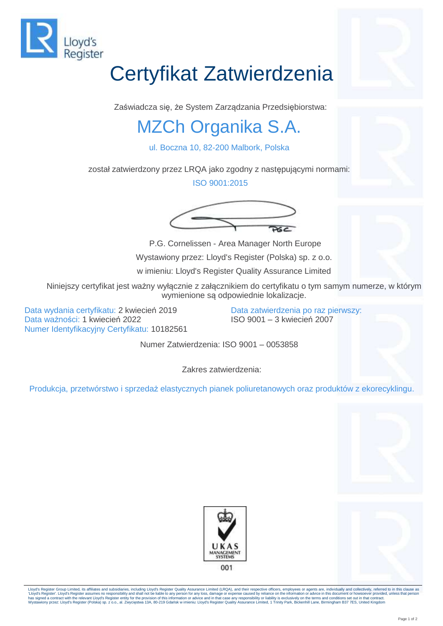

## Certyfikat Zatwierdzenia

Zaświadcza się, że System Zarządzania Przedsiębiorstwa:

## MZCh Organika S.A.

ul. Boczna 10, 82-200 Malbork, Polska

został zatwierdzony przez LRQA jako zgodny z następującymi normami:

ISO 9001:2015





P.G. Cornelissen - Area Manager North Europe Wystawiony przez: Lloyd's Register (Polska) sp. z o.o.

w imieniu: Lloyd's Register Quality Assurance Limited

Niniejszy certyfikat jest ważny wyłącznie z załącznikiem do certyfikatu o tym samym numerze, w którym wymienione są odpowiednie lokalizacje.

Data wydania certyfikatu: 2 kwiecień 2019 Data ważności: 1 kwiecień 2022 Numer Identyfikacyjny Certyfikatu: 10182561 Data zatwierdzenia po raz pierwszy: ISO 9001 – 3 kwiecień 2007

Numer Zatwierdzenia: ISO 9001 – 0053858

Zakres zatwierdzenia:

Produkcja, przetwórstwo i sprzedaż elastycznych pianek poliuretanowych oraz produktów z ekorecyklingu.





Lloyd's Register Group Limited, its affiliates and subsidiaries, including Lloyd's Register Quality Assurance Limited (LRQA), and their respective officers, employees or agents are, individually and collectively, referred